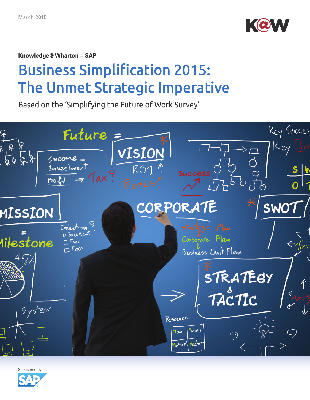

**Knowledge@Wharton – SAP** 

# Business Simplification 2015: The Unmet Strategic Imperative

Based on the 'Simplifying the Future of Work Survey'



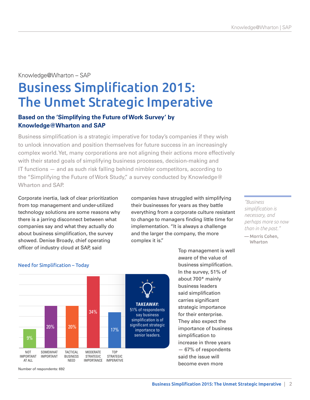## Knowledge@Wharton – SAP

## Business Simplification 2015: The Unmet Strategic Imperative

## **Based on the 'Simplifying the Future of Work Survey' by Knowledge@Wharton and SAP**

Business simplification is a strategic imperative for today's companies if they wish to unlock innovation and position themselves for future success in an increasingly complex world. Yet, many corporations are not aligning their actions more effectively with their stated goals of simplifying business processes, decision-making and IT functions — and as such risk falling behind nimbler competitors, according to the "Simplifying the Future of Work Study," a survey conducted by Knowledge@ Wharton and SAP.

Corporate inertia, lack of clear prioritization from top management and under-utilized technology solutions are some reasons why there is a jarring disconnect between what companies say and what they actually do about business simplification, the survey showed. Denise Broady, chief operating officer of industry cloud at SAP, said

companies have struggled with simplifying their businesses for years as they battle everything from a corporate culture resistant to change to managers finding little time for implementation. "It is always a challenge and the larger the company, the more complex it is."

> Top management is well aware of the value of business simplification. In the survey, 51% of about 700\* mainly business leaders said simplification carries significant strategic importance for their enterprise. They also expect the importance of business simplification to increase in three years — 67% of respondents said the issue will become even more

#### *"Business simplification is necessary, and perhaps more so now than in the past."*

— Morris Cohen, Wharton



Number of respondents: 692

## Need for Simplification – Today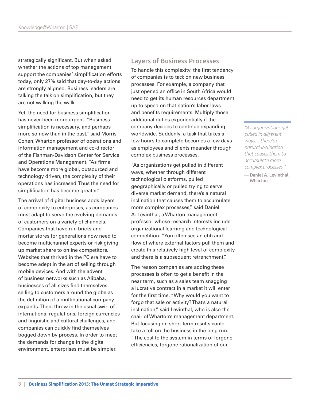strategically significant. But when asked whether the actions of top management support the companies' simplification efforts today, only 27% said that day-to-day actions are strongly aligned. Business leaders are talking the talk on simplification, but they are not walking the walk.

Yet, the need for business simplification has never been more urgent. "Business simplification is necessary, and perhaps more so now than in the past," said [Morris](https://opimweb.wharton.upenn.edu/profile/27/)  [Cohen,](https://opimweb.wharton.upenn.edu/profile/27/) Wharton professor of operations and information management and co-director of the Fishman-Davidson Center for Service and Operations Management. "As firms have become more global, outsourced and technology driven, the complexity of their operations has increased. Thus the need for simplification has become greater."

The arrival of digital business adds layers of complexity to enterprises, as companies must adapt to serve the evolving demands of customers on a variety of channels. Companies that have run bricks-andmortar stores for generations now need to become multichannel experts or risk giving up market share to online competitors. Websites that thrived in the PC era have to become adept in the art of selling through mobile devices. And with the advent of business networks such as Alibaba, businesses of all sizes find themselves selling to customers around the globe as the definition of a multinational company expands. Then, throw in the usual swirl of international regulations, foreign currencies and linguistic and cultural challenges, and companies can quickly find themselves bogged down by process. In order to meet the demands for change in the digital environment, enterprises must be simpler.

#### Layers of Business Processes

To handle this complexity, the first tendency of companies is to tack on new business processes. For example, a company that just opened an office in South Africa would need to get its human resources department up to speed on that nation's labor laws and benefits requirements. Multiply those additional duties exponentially if the company decides to continue expanding worldwide. Suddenly, a task that takes a few hours to complete becomes a few days as employees and clients meander through complex business processes.

"As organizations get pulled in different ways, whether through different technological platforms, pulled geographically or pulled trying to serve diverse market demand, there's a natural inclination that causes them to accumulate more complex processes," said [Daniel](https://mgmt.wharton.upenn.edu/profile/1335/)  [A. Levinthal,](https://mgmt.wharton.upenn.edu/profile/1335/) a Wharton management professor whose research interests include organizational learning and technological competition. "You often see an ebb and flow of where external factors pull them and create this relatively high level of complexity and there is a subsequent retrenchment."

The reason companies are adding these processes is often to get a benefit in the near term, such as a sales team snagging a lucrative contract in a market it will enter for the first time. "Why would you want to forgo that sale or activity? That's a natural inclination," said Levinthal, who is also the chair of Wharton's management department. But focusing on short-term results could take a toll on the business in the long run. "The cost to the system in terms of forgone efficiencies, forgone rationalization of our

*"As organizations get pulled in different ways… there's a natural inclination that causes them to accumulate more complex processes."*

— Daniel A. Levinthal, Wharton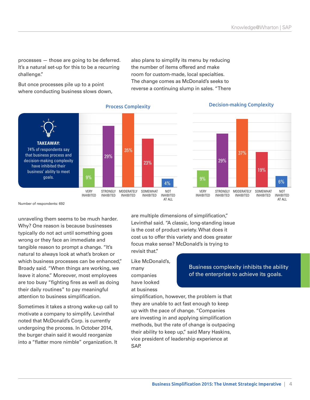processes — those are going to be deferred. It's a natural set-up for this to be a recurring challenge."

But once processes pile up to a point where conducting business slows down,



### Process Complexity Decision-making Complexity



Number of respondents: 692

unraveling them seems to be much harder. Why? One reason is because businesses typically do not act until something goes wrong or they face an immediate and tangible reason to prompt a change. "It's natural to always look at what's broken or which business processes can be enhanced," Broady said. "When things are working, we leave it alone." Moreover, most employees are too busy "fighting fires as well as doing their daily routines" to pay meaningful attention to business simplification.

Sometimes it takes a strong wake-up call to motivate a company to simplify. Levinthal noted that McDonald's Corp. is currently undergoing the process. In October 2014, the burger chain said it would reorganize into a "flatter more nimble" organization. It

are multiple dimensions of simplification," Levinthal said. "A classic, long-standing issue is the cost of product variety. What does it cost us to offer this variety and does greater focus make sense? McDonald's is trying to revisit that."

also plans to simplify its menu by reducing the number of items offered and make room for custom-made, local specialties. The change comes as McDonald's seeks to reverse a continuing slump in sales. "There

Like McDonald's, many companies have looked at business

simplification, however, the problem is that they are unable to act fast enough to keep up with the pace of change. "Companies are investing in and applying simplification methods, but the rate of change is outpacing their ability to keep up," said Mary Haskins, vice president of leadership experience at SAP.

Business complexity inhibits the ability of the enterprise to achieve its goals.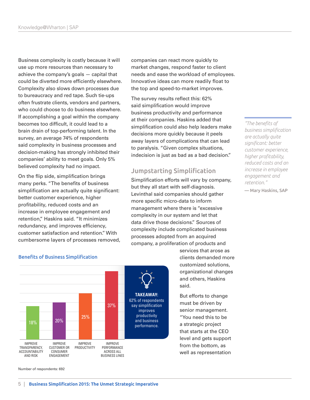Business complexity is costly because it will use up more resources than necessary to achieve the company's goals — capital that could be diverted more efficiently elsewhere. Complexity also slows down processes due to bureaucracy and red tape. Such tie-ups often frustrate clients, vendors and partners, who could choose to do business elsewhere. If accomplishing a goal within the company becomes too difficult, it could lead to a brain drain of top-performing talent. In the survey, an average 74% of respondents said complexity in business processes and decision-making has strongly inhibited their companies' ability to meet goals. Only 5% believed complexity had no impact.

On the flip side, simplification brings many perks. "The benefits of business simplification are actually quite significant: better customer experience, higher profitability, reduced costs and an increase in employee engagement and retention," Haskins said. "It minimizes redundancy, and improves efficiency, customer satisfaction and retention." With cumbersome layers of processes removed, companies can react more quickly to market changes, respond faster to client needs and ease the workload of employees. Innovative ideas can more readily float to the top and speed-to-market improves.

The survey results reflect this: 62% said simplification would improve business productivity and performance at their companies. Haskins added that simplification could also help leaders make decisions more quickly because it peels away layers of complications that can lead to paralysis. "Given complex situations, indecision is just as bad as a bad decision."

### Jumpstarting Simplification

Simplification efforts will vary by company, but they all start with self-diagnosis. Levinthal said companies should gather more specific micro-data to inform management where there is "excessive complexity in our system and let that data drive those decisions." Sources of complexity include complicated business processes adopted from an acquired company, a proliferation of products and

> services that arose as clients demanded more customized solutions, organizational changes and others, Haskins said.

But efforts to change must be driven by senior management. "You need this to be a strategic project that starts at the CEO level and gets support from the bottom, as well as representation

Benefits of Business Simplification



Number of respondents: 692

*"The benefits of business simplification are actually quite significant: better customer experience, higher profitability, reduced costs and an increase in employee engagement and retention."*

— Mary Haskins, SAP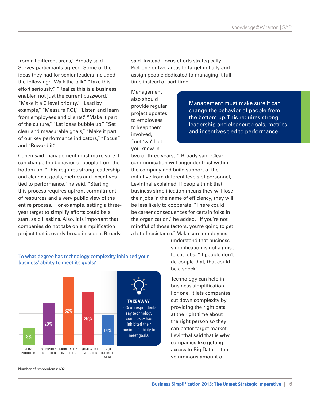from all different areas," Broady said. Survey participants agreed. Some of the ideas they had for senior leaders included the following: "Walk the talk," "Take this effort seriously," "Realize this is a business enabler, not just the current buzzword," "Make it a C level priority," "Lead by example," "Measure ROI," "Listen and learn from employees and clients," "Make it part of the culture," "Let ideas bubble up," "Set clear and measurable goals," "Make it part of our key performance indicators," "Focus" and "Reward it."

Cohen said management must make sure it can change the behavior of people from the bottom up. "This requires strong leadership and clear cut goals, metrics and incentives tied to performance," he said. "Starting this process requires upfront commitment of resources and a very public view of the entire process." For example, setting a threeyear target to simplify efforts could be a start, said Haskins. Also, it is important that companies do not take on a simplification project that is overly broad in scope, Broady

To what degree has technology complexity inhibited your business' ability to meet its goals?



said. Instead, focus efforts strategically. Pick one or two areas to target initially and assign people dedicated to managing it fulltime instead of part-time.

Management also should provide regular project updates to employees to keep them involved, "not 'we'll let you know in

Management must make sure it can change the behavior of people from the bottom up. This requires strong leadership and clear cut goals, metrics and incentives tied to performance.

two or three years,' " Broady said. Clear communication will engender trust within the company and build support of the initiative from different levels of personnel, Levinthal explained. If people think that business simplification means they will lose their jobs in the name of efficiency, they will be less likely to cooperate. "There could be career consequences for certain folks in the organization," he added. "If you're not mindful of those factors, you're going to get a lot of resistance." Make sure employees

> understand that business simplification is not a guise to cut jobs. "If people don't de-couple that, that could be a shock."

Technology can help in business simplification. For one, it lets companies cut down complexity by providing the right data at the right time about the right person so they can better target market. Levinthal said that is why companies like getting access to Big Data — the voluminous amount of

Number of respondents: 692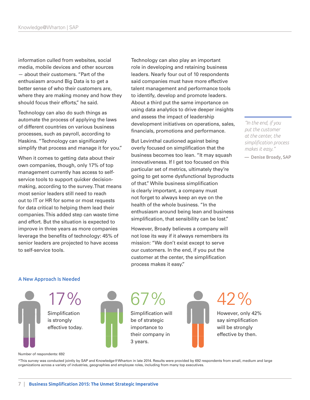information culled from websites, social media, mobile devices and other sources — about their customers. "Part of the enthusiasm around Big Data is to get a better sense of who their customers are, where they are making money and how they should focus their efforts," he said.

Technology can also do such things as automate the process of applying the laws of different countries on various business processes, such as payroll, according to Haskins. "Technology can significantly simplify that process and manage it for you."

When it comes to getting data about their own companies, though, only 17% of top management currently has access to selfservice tools to support quicker decisionmaking, according to the survey. That means most senior leaders still need to reach out to IT or HR for some or most requests for data critical to helping them lead their companies. This added step can waste time and effort. But the situation is expected to improve in three years as more companies leverage the benefits of technology: 45% of senior leaders are projected to have access to self-service tools.

Technology can also play an important role in developing and retaining business leaders. Nearly four out of 10 respondents said companies must have more effective talent management and performance tools to identify, develop and promote leaders. About a third put the same importance on using data analytics to drive deeper insights and assess the impact of leadership development initiatives on operations, sales, financials, promotions and performance.

But Levinthal cautioned against being overly focused on simplification that the business becomes too lean. "It may squash innovativeness. If I get too focused on this particular set of metrics, ultimately they're going to get some dysfunctional byproducts of that." While business simplification is clearly important, a company must not forget to always keep an eye on the health of the whole business. "In the enthusiasm around being lean and business simplification, that sensibility can be lost."

However, Broady believes a company will not lose its way if it always remembers its mission: "We don't exist except to serve our customers. In the end, if you put the customer at the center, the simplification process makes it easy."

*"In the end, if you put the customer at the center, the simplification process makes it easy."*

— Denise Broady, SAP

#### A New Approach Is Needed



67% Simplification will be of strategic importance to their company in 3 years.



## $42%$

However, only 42% say simplification will be strongly effective by then.

Number of respondents: 692

\*This survey was conducted jointly by SAP and Knowledge@Wharton in late 2014. Results were provided by 692 respondents from small, medium and large organizations across a variety of industries, geographies and employee roles, including from many top executives.